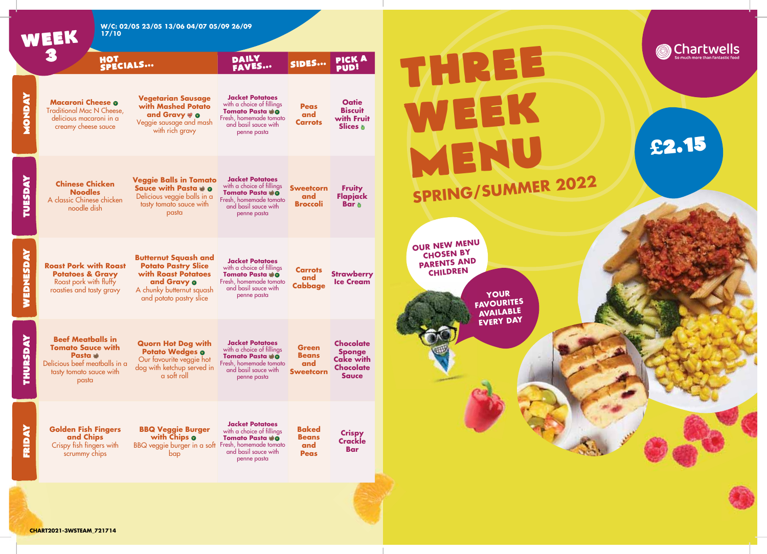

**CHART2021-3WSTEAM\_721714**